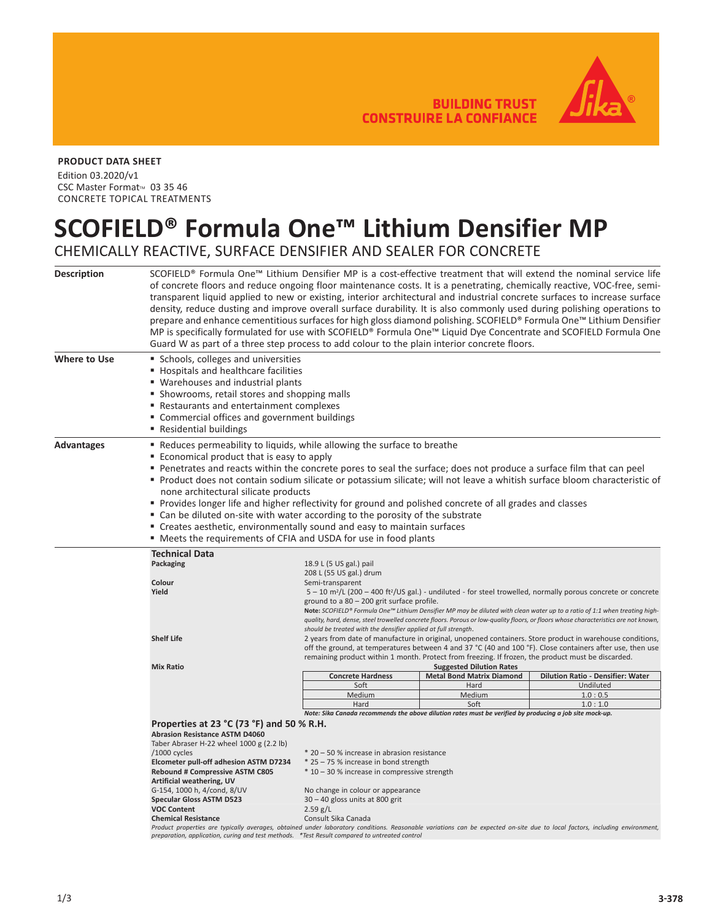**BUILDING TRUST CONSTRUIRE LA CONFIANCE** 



## **PRODUCT DATA SHEET**

Edition 03.2020/v1 CSC Master Format<sup>™</sup> 03 35 46 CONCRETE TOPICAL TREATMENTS

## **SCOFIELD® Formula One™ Lithium Densifier MP**

CHEMICALLY REACTIVE, SURFACE DENSIFIER AND SEALER FOR CONCRETE

| <b>Description</b> | SCOFIELD® Formula One™ Lithium Densifier MP is a cost-effective treatment that will extend the nominal service life<br>of concrete floors and reduce ongoing floor maintenance costs. It is a penetrating, chemically reactive, VOC-free, semi-<br>transparent liquid applied to new or existing, interior architectural and industrial concrete surfaces to increase surface<br>density, reduce dusting and improve overall surface durability. It is also commonly used during polishing operations to<br>prepare and enhance cementitious surfaces for high gloss diamond polishing. SCOFIELD® Formula One™ Lithium Densifier<br>MP is specifically formulated for use with SCOFIELD® Formula One™ Liquid Dye Concentrate and SCOFIELD Formula One<br>Guard W as part of a three step process to add colour to the plain interior concrete floors. |                                                                                                                                                                                                                                                                                                                                                                                                                                                                                                                                                    |                                                                     |                                   |  |
|--------------------|-------------------------------------------------------------------------------------------------------------------------------------------------------------------------------------------------------------------------------------------------------------------------------------------------------------------------------------------------------------------------------------------------------------------------------------------------------------------------------------------------------------------------------------------------------------------------------------------------------------------------------------------------------------------------------------------------------------------------------------------------------------------------------------------------------------------------------------------------------|----------------------------------------------------------------------------------------------------------------------------------------------------------------------------------------------------------------------------------------------------------------------------------------------------------------------------------------------------------------------------------------------------------------------------------------------------------------------------------------------------------------------------------------------------|---------------------------------------------------------------------|-----------------------------------|--|
|                    |                                                                                                                                                                                                                                                                                                                                                                                                                                                                                                                                                                                                                                                                                                                                                                                                                                                       |                                                                                                                                                                                                                                                                                                                                                                                                                                                                                                                                                    |                                                                     |                                   |  |
| Where to Use       | Schools, colleges and universities<br>■ Hospitals and healthcare facilities<br>■ Warehouses and industrial plants<br>• Showrooms, retail stores and shopping malls<br>■ Restaurants and entertainment complexes<br>• Commercial offices and government buildings<br>■ Residential buildings                                                                                                                                                                                                                                                                                                                                                                                                                                                                                                                                                           |                                                                                                                                                                                                                                                                                                                                                                                                                                                                                                                                                    |                                                                     |                                   |  |
| Advantages         | ■ Reduces permeability to liquids, while allowing the surface to breathe<br>■ Economical product that is easy to apply<br>Penetrates and reacts within the concrete pores to seal the surface; does not produce a surface film that can peel<br>Product does not contain sodium silicate or potassium silicate; will not leave a whitish surface bloom characteristic of<br>none architectural silicate products<br>Provides longer life and higher reflectivity for ground and polished concrete of all grades and classes<br>■ Can be diluted on-site with water according to the porosity of the substrate<br>■ Creates aesthetic, environmentally sound and easy to maintain surfaces<br>■ Meets the requirements of CFIA and USDA for use in food plants                                                                                         |                                                                                                                                                                                                                                                                                                                                                                                                                                                                                                                                                    |                                                                     |                                   |  |
|                    | <b>Technical Data</b>                                                                                                                                                                                                                                                                                                                                                                                                                                                                                                                                                                                                                                                                                                                                                                                                                                 |                                                                                                                                                                                                                                                                                                                                                                                                                                                                                                                                                    |                                                                     |                                   |  |
|                    | Packaging<br>Colour                                                                                                                                                                                                                                                                                                                                                                                                                                                                                                                                                                                                                                                                                                                                                                                                                                   | 18.9 L (5 US gal.) pail<br>208 L (55 US gal.) drum                                                                                                                                                                                                                                                                                                                                                                                                                                                                                                 |                                                                     |                                   |  |
|                    | Yield                                                                                                                                                                                                                                                                                                                                                                                                                                                                                                                                                                                                                                                                                                                                                                                                                                                 | Semi-transparent<br>$5 - 10$ m <sup>2</sup> /L (200 – 400 ft <sup>2</sup> /US gal.) - undiluted - for steel trowelled, normally porous concrete or concrete<br>ground to a $80 - 200$ grit surface profile.<br>Note: SCOFIELD® Formula One™ Lithium Densifier MP may be diluted with clean water up to a ratio of 1:1 when treating high-<br>quality, hard, dense, steel trowelled concrete floors. Porous or low-quality floors, or floors whose characteristics are not known,<br>should be treated with the densifier applied at full strength. |                                                                     |                                   |  |
|                    | <b>Shelf Life</b>                                                                                                                                                                                                                                                                                                                                                                                                                                                                                                                                                                                                                                                                                                                                                                                                                                     | 2 years from date of manufacture in original, unopened containers. Store product in warehouse conditions,<br>off the ground, at temperatures between 4 and 37 °C (40 and 100 °F). Close containers after use, then use<br>remaining product within 1 month. Protect from freezing. If frozen, the product must be discarded.                                                                                                                                                                                                                       |                                                                     |                                   |  |
|                    | <b>Mix Ratio</b>                                                                                                                                                                                                                                                                                                                                                                                                                                                                                                                                                                                                                                                                                                                                                                                                                                      | <b>Concrete Hardness</b>                                                                                                                                                                                                                                                                                                                                                                                                                                                                                                                           | <b>Suggested Dilution Rates</b><br><b>Metal Bond Matrix Diamond</b> | Dilution Ratio - Densifier: Water |  |
|                    |                                                                                                                                                                                                                                                                                                                                                                                                                                                                                                                                                                                                                                                                                                                                                                                                                                                       | Soft                                                                                                                                                                                                                                                                                                                                                                                                                                                                                                                                               | Hard                                                                | Undiluted                         |  |
|                    |                                                                                                                                                                                                                                                                                                                                                                                                                                                                                                                                                                                                                                                                                                                                                                                                                                                       | Medium                                                                                                                                                                                                                                                                                                                                                                                                                                                                                                                                             | Medium                                                              | 1.0:0.5                           |  |
|                    |                                                                                                                                                                                                                                                                                                                                                                                                                                                                                                                                                                                                                                                                                                                                                                                                                                                       | Hard                                                                                                                                                                                                                                                                                                                                                                                                                                                                                                                                               | Soft                                                                | 1.0:1.0                           |  |
|                    | Note: Sika Canada recommends the above dilution rates must be verified by producing a job site mock-up.                                                                                                                                                                                                                                                                                                                                                                                                                                                                                                                                                                                                                                                                                                                                               |                                                                                                                                                                                                                                                                                                                                                                                                                                                                                                                                                    |                                                                     |                                   |  |
|                    | Properties at 23 °C (73 °F) and 50 % R.H.                                                                                                                                                                                                                                                                                                                                                                                                                                                                                                                                                                                                                                                                                                                                                                                                             |                                                                                                                                                                                                                                                                                                                                                                                                                                                                                                                                                    |                                                                     |                                   |  |
|                    | <b>Abrasion Resistance ASTM D4060</b><br>Taber Abraser H-22 wheel 1000 g (2.2 lb)                                                                                                                                                                                                                                                                                                                                                                                                                                                                                                                                                                                                                                                                                                                                                                     |                                                                                                                                                                                                                                                                                                                                                                                                                                                                                                                                                    |                                                                     |                                   |  |
|                    | /1000 cycles                                                                                                                                                                                                                                                                                                                                                                                                                                                                                                                                                                                                                                                                                                                                                                                                                                          | * 20 - 50 % increase in abrasion resistance                                                                                                                                                                                                                                                                                                                                                                                                                                                                                                        |                                                                     |                                   |  |
|                    | Elcometer pull-off adhesion ASTM D7234                                                                                                                                                                                                                                                                                                                                                                                                                                                                                                                                                                                                                                                                                                                                                                                                                | * 25 - 75 % increase in bond strength                                                                                                                                                                                                                                                                                                                                                                                                                                                                                                              |                                                                     |                                   |  |
|                    | Rebound # Compressive ASTM C805<br>Artificial weathering, UV                                                                                                                                                                                                                                                                                                                                                                                                                                                                                                                                                                                                                                                                                                                                                                                          | * 10 - 30 % increase in compressive strength                                                                                                                                                                                                                                                                                                                                                                                                                                                                                                       |                                                                     |                                   |  |
|                    | G-154, 1000 h, 4/cond, 8/UV                                                                                                                                                                                                                                                                                                                                                                                                                                                                                                                                                                                                                                                                                                                                                                                                                           | No change in colour or appearance                                                                                                                                                                                                                                                                                                                                                                                                                                                                                                                  |                                                                     |                                   |  |
|                    | <b>Specular Gloss ASTM D523</b>                                                                                                                                                                                                                                                                                                                                                                                                                                                                                                                                                                                                                                                                                                                                                                                                                       | $30 - 40$ gloss units at 800 grit                                                                                                                                                                                                                                                                                                                                                                                                                                                                                                                  |                                                                     |                                   |  |
|                    | <b>VOC Content</b><br><b>Chemical Resistance</b>                                                                                                                                                                                                                                                                                                                                                                                                                                                                                                                                                                                                                                                                                                                                                                                                      | 2.59 g/L<br>Consult Sika Canada                                                                                                                                                                                                                                                                                                                                                                                                                                                                                                                    |                                                                     |                                   |  |
|                    | Product properties are typically averages, obtained under laboratory conditions. Reasonable variations can be expected on-site due to local factors, including environment,                                                                                                                                                                                                                                                                                                                                                                                                                                                                                                                                                                                                                                                                           |                                                                                                                                                                                                                                                                                                                                                                                                                                                                                                                                                    |                                                                     |                                   |  |
|                    | preparation, application, curing and test methods. *Test Result compared to untreated control                                                                                                                                                                                                                                                                                                                                                                                                                                                                                                                                                                                                                                                                                                                                                         |                                                                                                                                                                                                                                                                                                                                                                                                                                                                                                                                                    |                                                                     |                                   |  |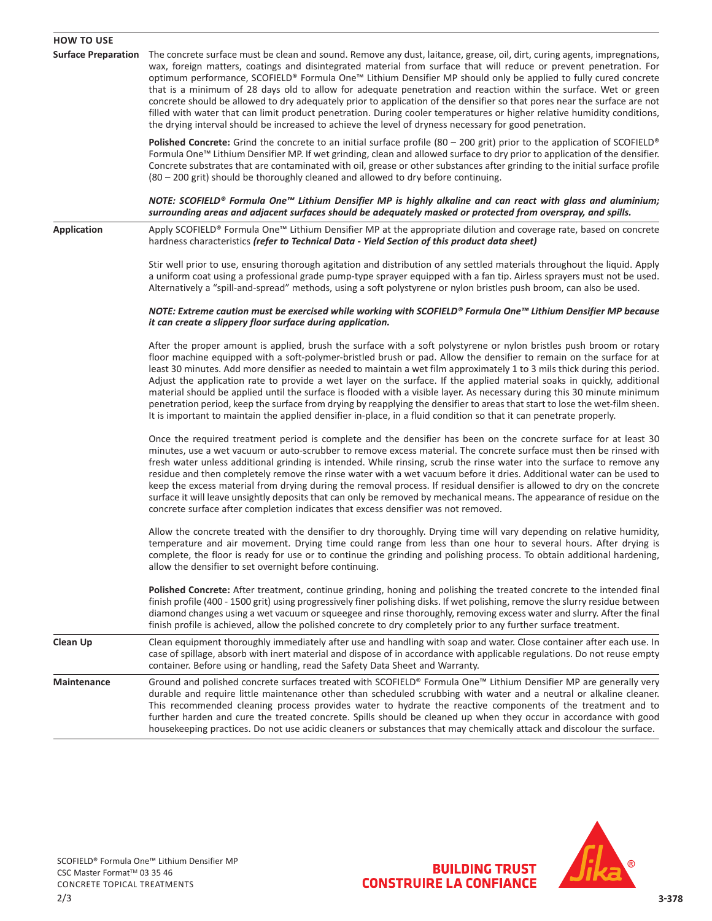| <b>HOW TO USE</b>          |                                                                                                                                                                                                                                                                                                                                                                                                                                                                                                                                                                                                                                                                                                                                                                                                                                                                                          |
|----------------------------|------------------------------------------------------------------------------------------------------------------------------------------------------------------------------------------------------------------------------------------------------------------------------------------------------------------------------------------------------------------------------------------------------------------------------------------------------------------------------------------------------------------------------------------------------------------------------------------------------------------------------------------------------------------------------------------------------------------------------------------------------------------------------------------------------------------------------------------------------------------------------------------|
| <b>Surface Preparation</b> | The concrete surface must be clean and sound. Remove any dust, laitance, grease, oil, dirt, curing agents, impregnations,<br>wax, foreign matters, coatings and disintegrated material from surface that will reduce or prevent penetration. For<br>optimum performance, SCOFIELD® Formula One™ Lithium Densifier MP should only be applied to fully cured concrete<br>that is a minimum of 28 days old to allow for adequate penetration and reaction within the surface. Wet or green<br>concrete should be allowed to dry adequately prior to application of the densifier so that pores near the surface are not<br>filled with water that can limit product penetration. During cooler temperatures or higher relative humidity conditions,<br>the drying interval should be increased to achieve the level of dryness necessary for good penetration.                              |
|                            | Polished Concrete: Grind the concrete to an initial surface profile (80 – 200 grit) prior to the application of SCOFIELD®<br>Formula One <sup>™</sup> Lithium Densifier MP. If wet grinding, clean and allowed surface to dry prior to application of the densifier.<br>Concrete substrates that are contaminated with oil, grease or other substances after grinding to the initial surface profile<br>(80 – 200 grit) should be thoroughly cleaned and allowed to dry before continuing.                                                                                                                                                                                                                                                                                                                                                                                               |
|                            | NOTE: SCOFIELD® Formula One™ Lithium Densifier MP is highly alkaline and can react with glass and aluminium;<br>surrounding areas and adjacent surfaces should be adequately masked or protected from overspray, and spills.                                                                                                                                                                                                                                                                                                                                                                                                                                                                                                                                                                                                                                                             |
| <b>Application</b>         | Apply SCOFIELD® Formula One™ Lithium Densifier MP at the appropriate dilution and coverage rate, based on concrete<br>hardness characteristics (refer to Technical Data - Yield Section of this product data sheet)                                                                                                                                                                                                                                                                                                                                                                                                                                                                                                                                                                                                                                                                      |
|                            | Stir well prior to use, ensuring thorough agitation and distribution of any settled materials throughout the liquid. Apply<br>a uniform coat using a professional grade pump-type sprayer equipped with a fan tip. Airless sprayers must not be used.<br>Alternatively a "spill-and-spread" methods, using a soft polystyrene or nylon bristles push broom, can also be used.                                                                                                                                                                                                                                                                                                                                                                                                                                                                                                            |
|                            | NOTE: Extreme caution must be exercised while working with SCOFIELD® Formula One™ Lithium Densifier MP because<br>it can create a slippery floor surface during application.                                                                                                                                                                                                                                                                                                                                                                                                                                                                                                                                                                                                                                                                                                             |
|                            | After the proper amount is applied, brush the surface with a soft polystyrene or nylon bristles push broom or rotary<br>floor machine equipped with a soft-polymer-bristled brush or pad. Allow the densifier to remain on the surface for at<br>least 30 minutes. Add more densifier as needed to maintain a wet film approximately 1 to 3 mils thick during this period.<br>Adjust the application rate to provide a wet layer on the surface. If the applied material soaks in quickly, additional<br>material should be applied until the surface is flooded with a visible layer. As necessary during this 30 minute minimum<br>penetration period, keep the surface from drying by reapplying the densifier to areas that start to lose the wet-film sheen.<br>It is important to maintain the applied densifier in-place, in a fluid condition so that it can penetrate properly. |
|                            | Once the required treatment period is complete and the densifier has been on the concrete surface for at least 30<br>minutes, use a wet vacuum or auto-scrubber to remove excess material. The concrete surface must then be rinsed with<br>fresh water unless additional grinding is intended. While rinsing, scrub the rinse water into the surface to remove any<br>residue and then completely remove the rinse water with a wet vacuum before it dries. Additional water can be used to<br>keep the excess material from drying during the removal process. If residual densifier is allowed to dry on the concrete<br>surface it will leave unsightly deposits that can only be removed by mechanical means. The appearance of residue on the<br>concrete surface after completion indicates that excess densifier was not removed.                                                |
|                            | Allow the concrete treated with the densifier to dry thoroughly. Drying time will vary depending on relative humidity,<br>temperature and air movement. Drying time could range from less than one hour to several hours. After drying is<br>complete, the floor is ready for use or to continue the grinding and polishing process. To obtain additional hardening,<br>allow the densifier to set overnight before continuing.                                                                                                                                                                                                                                                                                                                                                                                                                                                          |
|                            | Polished Concrete: After treatment, continue grinding, honing and polishing the treated concrete to the intended final<br>finish profile (400 - 1500 grit) using progressively finer polishing disks. If wet polishing, remove the slurry residue between<br>diamond changes using a wet vacuum or squeegee and rinse thoroughly, removing excess water and slurry. After the final<br>finish profile is achieved, allow the polished concrete to dry completely prior to any further surface treatment.                                                                                                                                                                                                                                                                                                                                                                                 |
| Clean Up                   | Clean equipment thoroughly immediately after use and handling with soap and water. Close container after each use. In<br>case of spillage, absorb with inert material and dispose of in accordance with applicable regulations. Do not reuse empty<br>container. Before using or handling, read the Safety Data Sheet and Warranty.                                                                                                                                                                                                                                                                                                                                                                                                                                                                                                                                                      |
| <b>Maintenance</b>         | Ground and polished concrete surfaces treated with SCOFIELD® Formula One™ Lithium Densifier MP are generally very<br>durable and require little maintenance other than scheduled scrubbing with water and a neutral or alkaline cleaner.<br>This recommended cleaning process provides water to hydrate the reactive components of the treatment and to<br>further harden and cure the treated concrete. Spills should be cleaned up when they occur in accordance with good<br>housekeeping practices. Do not use acidic cleaners or substances that may chemically attack and discolour the surface.                                                                                                                                                                                                                                                                                   |



BUILDING TRUST<br>CONSTRUIRE LA CONFIANCE

SCOFIELD® Formula One™ Lithium Densifier MP CSC Master Format™ 03 35 46 CONCRETE TOPICAL TREATMENTS